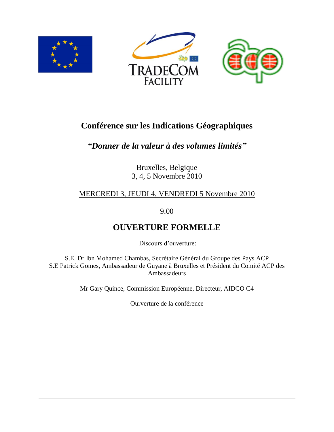





# **Conférence sur les Indications Géographiques**

## *"Donner de la valeur à des volumes limités"*

Bruxelles, Belgique 3, 4, 5 Novembre 2010

## MERCREDI 3, JEUDI 4, VENDREDI 5 Novembre 2010

9.00

# **OUVERTURE FORMELLE**

Discours d'ouverture:

S.E. Dr Ibn Mohamed Chambas, Secrétaire Général du Groupe des Pays ACP S.E Patrick Gomes, Ambassadeur de Guyane à Bruxelles et Président du Comité ACP des Ambassadeurs

Mr Gary Quince, Commission Européenne, Directeur, AIDCO C4

Ourverture de la conférence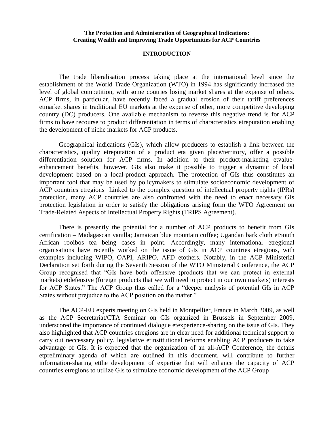#### **The Protection and Administration of Geographical Indications: Creating Wealth and Improving Trade Opportunities for ACP Countries**

#### **INTRODUCTION**

The trade liberalisation process taking place at the international level since the establishment of the World Trade Organization (WTO) in 1994 has significantly increased the level of global competition, with some coutries losing market shares at the expense of others. ACP firms, in particular, have recently faced a gradual erosion of their tariff preferences etmarket shares in traditional EU markets at the expense of other, more competitive developing country (DC) producers. One available mechanism to reverse this negative trend is for ACP firms to have recourse to product differentiation in terms of characteristics etreputation enabling the development of niche markets for ACP products.

Geographical indications (GIs), which allow producers to establish a link between the characteristics, quality etreputation of a product eta given place/territory, offer a possible differentiation solution for ACP firms. In addition to their product-marketing etvalueenhancement benefits, however, GIs also make it possible to trigger a dynamic of local development based on a local-product approach. The protection of GIs thus constitutes an important tool that may be used by policymakers to stimulate socioeconomic development of ACP countries etregions Linked to the complex question of intellectual property rights (IPRs) protection, many ACP countries are also confronted with the need to enact necessary GIs protection legislation in order to satisfy the obligations arising form the WTO Agreement on Trade-Related Aspects of Intellectual Property Rights (TRIPS Agreement).

There is presently the potential for a number of ACP products to benefit from GIs certification – Madagascan vanilla; Jamaican blue mountain coffee; Ugandan bark cloth etSouth African rooibos tea being cases in point. Accordingly, many international etregional organisations have recently worked on the issue of GIs in ACP countries etregions, with examples including WIPO, OAPI, ARIPO, AFD etothers. Notably, in the ACP Ministerial Declaration set forth during the Seventh Session of the WTO Ministerial Conference, the ACP Group recognised that "GIs have both offensive (products that we can protect in external markets) etdefensive (foreign products that we will need to protect in our own markets) interests for ACP States." The ACP Group thus called for a "deeper analysis of potential GIs in ACP States without prejudice to the ACP position on the matter."

The ACP-EU experts meeting on GIs held in Montpellier, France in March 2009, as well as the ACP Secretariat/CTA Seminar on GIs organized in Brussels in September 2009, underscored the importance of continued dialogue etexperience-sharing on the issue of GIs. They also highlighted that ACP countries etregions are in clear need for additional technical support to carry out neccessary policy, legislative etinstitutional reforms enabling ACP producers to take advantage of GIs. It is expected that the organization of an all-ACP Conference, the details etpreliminary agenda of which are outlined in this document, will contribute to further information-sharing etthe development of expertise that will enhance the capacity of ACP countries etregions to utilize GIs to stimulate economic development of the ACP Group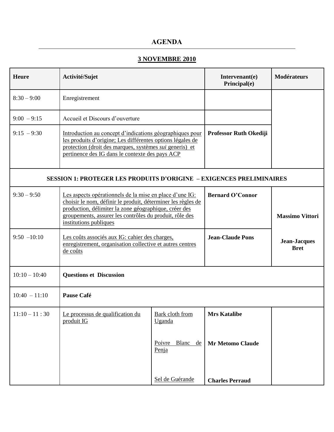## **AGENDA**

## **3 NOVEMBRE 2010**

| <b>Heure</b>    | Activité/Sujet                                                                                                                                                                                                                                                        |                                  | Intervenant(e)<br>Principal(e) | <b>Modérateurs</b>                 |
|-----------------|-----------------------------------------------------------------------------------------------------------------------------------------------------------------------------------------------------------------------------------------------------------------------|----------------------------------|--------------------------------|------------------------------------|
| $8:30 - 9:00$   | Enregistrement                                                                                                                                                                                                                                                        |                                  |                                |                                    |
| $9:00 - 9:15$   | Accueil et Discours d'ouverture                                                                                                                                                                                                                                       |                                  |                                |                                    |
| $9:15 - 9:30$   | Introduction au concept d'indications géographiques pour<br>les produits d'origine; Les différentes options légales de<br>protection (droit des marques, systèmes <i>sui</i> generis) et<br>pertinence des IG dans le contexte des pays ACP                           |                                  | Professor Ruth Okediji         |                                    |
|                 | <b>SESSION 1: PROTEGER LES PRODUITS D'ORIGINE - EXIGENCES PRELIMINAIRES</b>                                                                                                                                                                                           |                                  |                                |                                    |
| $9:30 - 9:50$   | Les aspects opérationnels de la mise en place d'une IG:<br>choisir le nom, définir le produit, déterminer les règles de<br>production, délimiter la zone géographique, créer des<br>groupements, assurer les contrôles du produit, rôle des<br>institutions publiques |                                  | <b>Bernard O'Connor</b>        | <b>Massimo Vittori</b>             |
| $9:50 - 10:10$  | Les coûts associés aux IG: cahier des charges,<br>enregistrement, organisation collective et autres centres<br>de coûts                                                                                                                                               |                                  | <b>Jean-Claude Pons</b>        | <b>Jean-Jacques</b><br><b>Bret</b> |
| $10:10 - 10:40$ | <b>Questions et Discussion</b>                                                                                                                                                                                                                                        |                                  |                                |                                    |
| $10:40 - 11:10$ | Pause Café                                                                                                                                                                                                                                                            |                                  |                                |                                    |
| $11:10 - 11:30$ | Le processus de qualification du<br>produit IG                                                                                                                                                                                                                        | <b>Bark cloth from</b><br>Uganda | <b>Mrs Katalibe</b>            |                                    |
|                 |                                                                                                                                                                                                                                                                       | Poivre Blanc<br>de<br>Penja      | <b>Mr Metomo Claude</b>        |                                    |
|                 |                                                                                                                                                                                                                                                                       | Sel de Guérande                  | <b>Charles Perraud</b>         |                                    |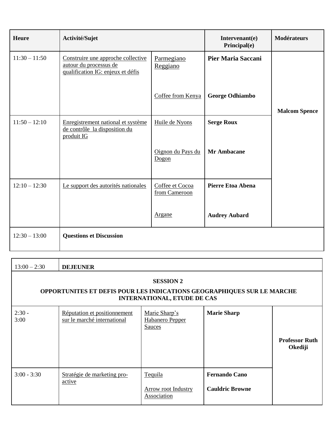| Heure           | Activité/Sujet                                                                                    |                                  | Intervenant(e)<br>Principal(e) | <b>Modérateurs</b>   |
|-----------------|---------------------------------------------------------------------------------------------------|----------------------------------|--------------------------------|----------------------|
| $11:30 - 11:50$ | Construire une approche collective<br>autour du processus de<br>qualification IG: enjeux et défis | Parmegiano<br>Reggiano           | <b>Pier Maria Saccani</b>      |                      |
|                 |                                                                                                   | Coffee from Kenya                | <b>George Odhiambo</b>         | <b>Malcom Spence</b> |
| $11:50 - 12:10$ | Enregistrement national et système<br>de contrôle la disposition du<br>produit IG                 | Huile de Nyons                   | <b>Serge Roux</b>              |                      |
|                 |                                                                                                   | Oignon du Pays du<br>Dogon       | <b>Mr Ambacane</b>             |                      |
| $12:10 - 12:30$ | Le support des autorités nationales                                                               | Coffee et Cocoa<br>from Cameroon | <b>Pierre Etoa Abena</b>       |                      |
|                 |                                                                                                   | Argane                           | <b>Audrey Aubard</b>           |                      |
| $12:30 - 13:00$ | <b>Questions et Discussion</b>                                                                    |                                  |                                |                      |

| $13:00 - 2:30$                                                                                                                          | <b>DEJEUNER</b>                                             |                                                      |                                                |                                  |
|-----------------------------------------------------------------------------------------------------------------------------------------|-------------------------------------------------------------|------------------------------------------------------|------------------------------------------------|----------------------------------|
| <b>SESSION 2</b><br><b>OPPORTUNITES ET DEFIS POUR LES INDICATIONS GEOGRAPHIQUES SUR LE MARCHE</b><br><b>INTERNATIONAL, ETUDE DE CAS</b> |                                                             |                                                      |                                                |                                  |
| $2:30 -$<br>3:00                                                                                                                        | Réputation et positionnement<br>sur le marché international | Marie Sharp's<br>Habanero Pepper<br><b>Sauces</b>    | <b>Marie Sharp</b>                             | <b>Professor Ruth</b><br>Okediji |
| $3:00 - 3:30$                                                                                                                           | Stratégie de marketing pro-<br>active                       | Tequila<br><b>Arrow root Industry</b><br>Association | <b>Fernando Cano</b><br><b>Cauldric Browne</b> |                                  |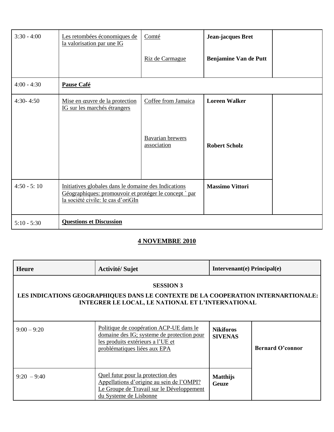| $3:30 - 4:00$ | Les retombées économiques de<br>la valorisation par une IG                                                                                          | Comté<br>Riz de Carmague                               | Jean-jacques Bret<br><b>Benjamine Van de Putt</b> |  |
|---------------|-----------------------------------------------------------------------------------------------------------------------------------------------------|--------------------------------------------------------|---------------------------------------------------|--|
| $4:00 - 4:30$ | Pause Café                                                                                                                                          |                                                        |                                                   |  |
| $4:30 - 4:50$ | Mise en œuvre de la protection<br>IG sur les marchés étrangers                                                                                      | Coffee from Jamaica<br>Bavarian brewers<br>association | <b>Loreen Walker</b><br><b>Robert Scholz</b>      |  |
| $4:50 - 5:10$ | Initiatives globales dans le domaine des Indications<br>Géographiques: promouvoir et protéger le concept `par<br>la société civile: le cas d'oriGIn |                                                        | <b>Massimo Vittori</b>                            |  |
| $5:10 - 5:30$ | <b>Questions et Discussion</b>                                                                                                                      |                                                        |                                                   |  |

## **4 NOVEMBRE 2010**

| <b>Heure</b>                                                                                                                                               | <b>Activité/Sujet</b>                                                                                                                                      | Intervenant(e) Principal(e)        |                         |
|------------------------------------------------------------------------------------------------------------------------------------------------------------|------------------------------------------------------------------------------------------------------------------------------------------------------------|------------------------------------|-------------------------|
| <b>SESSION 3</b><br>LES INDICATIONS GEOGRAPHIQUES DANS LE CONTEXTE DE LA COOPERATION INTERNARTIONALE:<br>INTEGRER LE LOCAL, LE NATIONAL ET L'INTERNATIONAL |                                                                                                                                                            |                                    |                         |
| $9:00 - 9:20$                                                                                                                                              | Politique de coopération ACP-UE dans le<br>domaine des IG; systeme de protection pour<br>les produits extérieurs a l'UE et<br>problématiques liées aux EPA | <b>Nikiforos</b><br><b>SIVENAS</b> | <b>Bernard O'connor</b> |
| $9:20 - 9:40$                                                                                                                                              | Quel futur pour la protection des<br>Appellations d'origine au sein de l'OMPI?<br>Le Groupe de Travail sur le Développement<br>du Systeme de Lisbonne      | <b>Matthijs</b><br>Geuze           |                         |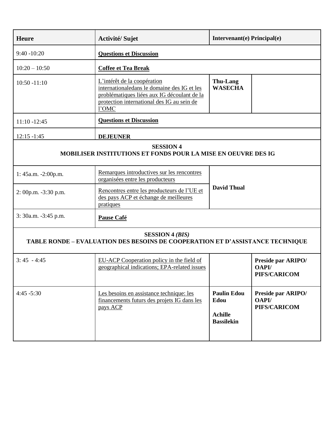| <b>Heure</b>                                                                                            | Activité/Sujet                                                                                                                                                                   | Intervenant(e) Principal(e)                                       |                                                    |  |
|---------------------------------------------------------------------------------------------------------|----------------------------------------------------------------------------------------------------------------------------------------------------------------------------------|-------------------------------------------------------------------|----------------------------------------------------|--|
| $9:40 - 10:20$                                                                                          | <b>Questions et Discussion</b>                                                                                                                                                   |                                                                   |                                                    |  |
| $10:20 - 10:50$                                                                                         | <b>Coffee et Tea Break</b>                                                                                                                                                       |                                                                   |                                                    |  |
| $10:50 - 11:10$                                                                                         | L'intérêt de la coopération<br>internationaledans le domaine des IG et les<br>problématiques liées aux IG découlant de la<br>protection international des IG au sein de<br>l'OMC | <b>Thu-Lang</b><br><b>WASECHA</b>                                 |                                                    |  |
| $11:10 - 12:45$                                                                                         | <b>Questions et Discussion</b>                                                                                                                                                   |                                                                   |                                                    |  |
| $12:15 - 1:45$                                                                                          | <b>DEJEUNER</b>                                                                                                                                                                  |                                                                   |                                                    |  |
| <b>SESSION 4</b><br><b>MOBILISER INSTITUTIONS ET FONDS POUR LA MISE EN OEUVRE DES IG</b>                |                                                                                                                                                                                  |                                                                   |                                                    |  |
| 1: 45a.m. -2:00p.m.                                                                                     | Remarques introductives sur les rencontres<br>organisées entre les producteurs                                                                                                   |                                                                   |                                                    |  |
| $2:00p.m. -3:30 p.m.$                                                                                   | Rencontres entre les producteurs de l'UE et<br>des pays ACP et échange de meilleures<br>pratiques                                                                                | <b>David Thual</b>                                                |                                                    |  |
| 3: 30a.m. -3:45 p.m.                                                                                    | Pause Café                                                                                                                                                                       |                                                                   |                                                    |  |
| <b>SESSION 4 (BIS)</b><br>TABLE RONDE – EVALUATION DES BESOINS DE COOPERATION ET D'ASSISTANCE TECHNIQUE |                                                                                                                                                                                  |                                                                   |                                                    |  |
| $3:45 - 4:45$                                                                                           | EU-ACP Cooperation policy in the field of<br>geographical indications; EPA-related issues                                                                                        |                                                                   | Preside par ARIPO/<br><b>OAPI/</b><br>PIFS/CARICOM |  |
| $4:45 - 5:30$                                                                                           | Les besoins en assistance technique: les<br>financements futurs des projets IG dans les<br>pays ACP                                                                              | <b>Paulin Edou</b><br>Edou<br><b>Achille</b><br><b>Bassilekin</b> | Preside par ARIPO/<br>OAPI/<br>PIFS/CARICOM        |  |